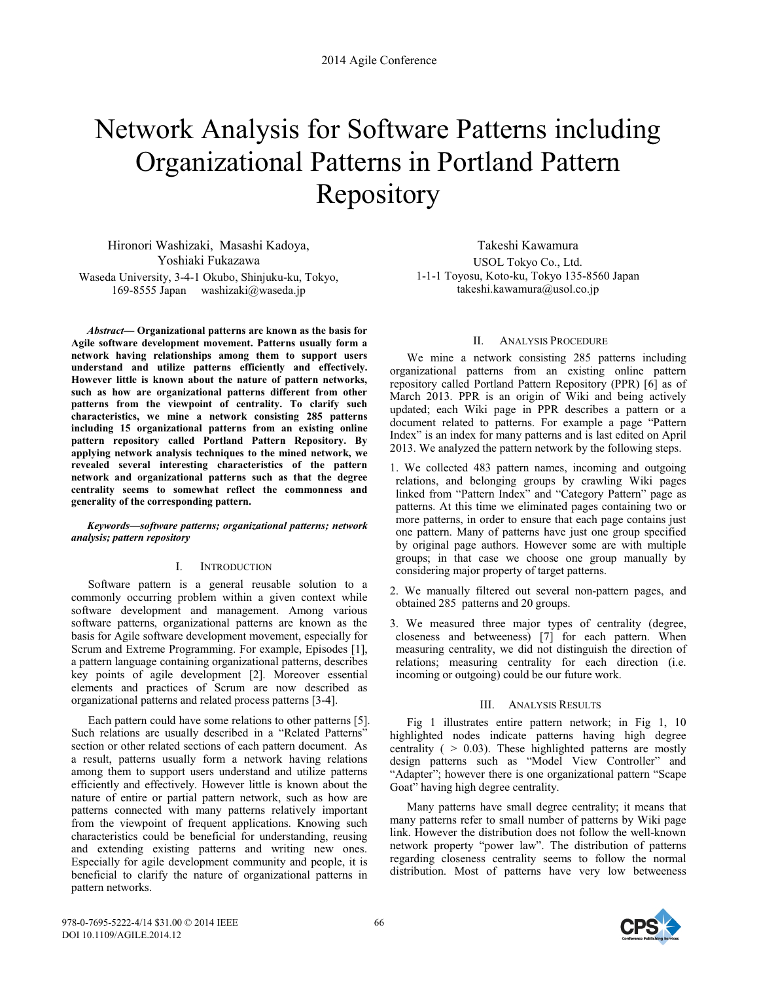# Network Analysis for Software Patterns including Organizational Patterns in Portland Pattern Repository

Hironori Washizaki, Masashi Kadoya, Yoshiaki Fukazawa Waseda University, 3-4-1 Okubo, Shinjuku-ku, Tokyo, 169-8555 Japan washizaki@waseda.jp

*Abstract***— Organizational patterns are known as the basis for Agile software development movement. Patterns usually form a network having relationships among them to support users understand and utilize patterns efficiently and effectively. However little is known about the nature of pattern networks, such as how are organizational patterns different from other patterns from the viewpoint of centrality. To clarify such characteristics, we mine a network consisting 285 patterns including 15 organizational patterns from an existing online pattern repository called Portland Pattern Repository. By applying network analysis techniques to the mined network, we revealed several interesting characteristics of the pattern network and organizational patterns such as that the degree centrality seems to somewhat reflect the commonness and generality of the corresponding pattern.** 

*Keywords—software patterns; organizational patterns; network analysis; pattern repository* 

## I. INTRODUCTION

Software pattern is a general reusable solution to a commonly occurring problem within a given context while software development and management. Among various software patterns, organizational patterns are known as the basis for Agile software development movement, especially for Scrum and Extreme Programming. For example, Episodes [1], a pattern language containing organizational patterns, describes key points of agile development [2]. Moreover essential elements and practices of Scrum are now described as organizational patterns and related process patterns [3-4].

Each pattern could have some relations to other patterns [5]. Such relations are usually described in a "Related Patterns" section or other related sections of each pattern document. As a result, patterns usually form a network having relations among them to support users understand and utilize patterns efficiently and effectively. However little is known about the nature of entire or partial pattern network, such as how are patterns connected with many patterns relatively important from the viewpoint of frequent applications. Knowing such characteristics could be beneficial for understanding, reusing and extending existing patterns and writing new ones. Especially for agile development community and people, it is beneficial to clarify the nature of organizational patterns in pattern networks.

Takeshi Kawamura USOL Tokyo Co., Ltd. 1-1-1 Toyosu, Koto-ku, Tokyo 135-8560 Japan takeshi.kawamura@usol.co.jp

## II. ANALYSIS PROCEDURE

We mine a network consisting 285 patterns including organizational patterns from an existing online pattern repository called Portland Pattern Repository (PPR) [6] as of March 2013. PPR is an origin of Wiki and being actively updated; each Wiki page in PPR describes a pattern or a document related to patterns. For example a page "Pattern Index" is an index for many patterns and is last edited on April 2013. We analyzed the pattern network by the following steps.

- 1. We collected 483 pattern names, incoming and outgoing relations, and belonging groups by crawling Wiki pages linked from "Pattern Index" and "Category Pattern" page as patterns. At this time we eliminated pages containing two or more patterns, in order to ensure that each page contains just one pattern. Many of patterns have just one group specified by original page authors. However some are with multiple groups; in that case we choose one group manually by considering major property of target patterns.
- 2. We manually filtered out several non-pattern pages, and obtained 285 patterns and 20 groups.
- 3. We measured three major types of centrality (degree, closeness and betweeness) [7] for each pattern. When measuring centrality, we did not distinguish the direction of relations; measuring centrality for each direction (i.e. incoming or outgoing) could be our future work.

#### III. ANALYSIS RESULTS

Fig 1 illustrates entire pattern network; in Fig 1, 10 highlighted nodes indicate patterns having high degree centrality ( $> 0.03$ ). These highlighted patterns are mostly design patterns such as "Model View Controller" and "Adapter"; however there is one organizational pattern "Scape Goat" having high degree centrality.

Many patterns have small degree centrality; it means that many patterns refer to small number of patterns by Wiki page link. However the distribution does not follow the well-known network property "power law". The distribution of patterns regarding closeness centrality seems to follow the normal distribution. Most of patterns have very low betweeness